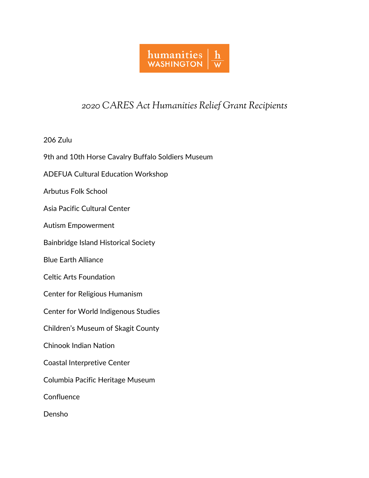

## *2020 CARES Act Humanities Relief Grant Recipients*

206 Zulu

9th and 10th Horse Cavalry Buffalo Soldiers Museum

ADEFUA Cultural Education Workshop

Arbutus Folk School

Asia Pacific Cultural Center

Autism Empowerment

Bainbridge Island Historical Society

Blue Earth Alliance

Celtic Arts Foundation

Center for Religious Humanism

Center for World Indigenous Studies

Children's Museum of Skagit County

Chinook Indian Nation

Coastal Interpretive Center

Columbia Pacific Heritage Museum

**Confluence** 

Densho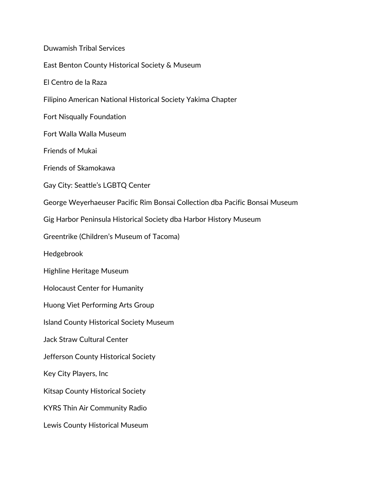Duwamish Tribal Services East Benton County Historical Society & Museum El Centro de la Raza Filipino American National Historical Society Yakima Chapter Fort Nisqually Foundation Fort Walla Walla Museum Friends of Mukai Friends of Skamokawa Gay City: Seattle's LGBTQ Center George Weyerhaeuser Pacific Rim Bonsai Collection dba Pacific Bonsai Museum Gig Harbor Peninsula Historical Society dba Harbor History Museum Greentrike (Children's Museum of Tacoma) Hedgebrook Highline Heritage Museum Holocaust Center for Humanity Huong Viet Performing Arts Group Island County Historical Society Museum Jack Straw Cultural Center Jefferson County Historical Society Key City Players, Inc Kitsap County Historical Society KYRS Thin Air Community Radio Lewis County Historical Museum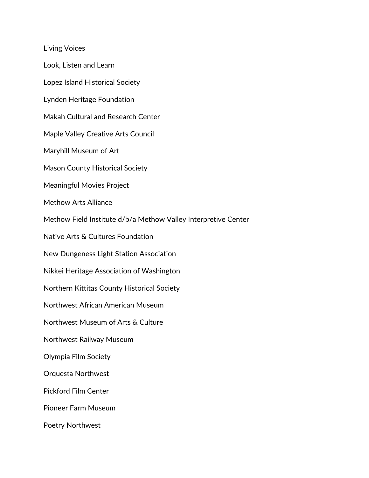Living Voices

Look, Listen and Learn

Lopez Island Historical Society

Lynden Heritage Foundation

Makah Cultural and Research Center

Maple Valley Creative Arts Council

Maryhill Museum of Art

Mason County Historical Society

Meaningful Movies Project

Methow Arts Alliance

Methow Field Institute d/b/a Methow Valley Interpretive Center

Native Arts & Cultures Foundation

New Dungeness Light Station Association

Nikkei Heritage Association of Washington

Northern Kittitas County Historical Society

Northwest African American Museum

Northwest Museum of Arts & Culture

Northwest Railway Museum

Olympia Film Society

Orquesta Northwest

Pickford Film Center

Pioneer Farm Museum

Poetry Northwest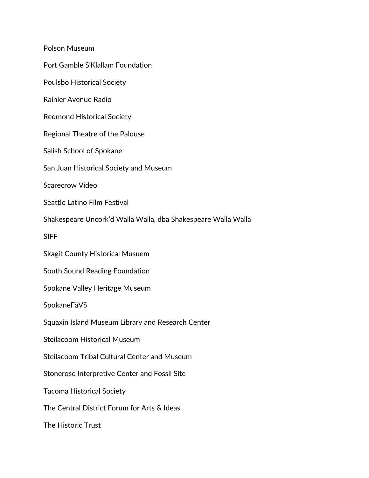Polson Museum Port Gamble S'Klallam Foundation Poulsbo Historical Society Rainier Avenue Radio Redmond Historical Society Regional Theatre of the Palouse Salish School of Spokane San Juan Historical Society and Museum Scarecrow Video Seattle Latino Film Festival Shakespeare Uncork'd Walla Walla, dba Shakespeare Walla Walla SIFF Skagit County Historical Musuem South Sound Reading Foundation Spokane Valley Heritage Museum SpokaneFāVS Squaxin Island Museum Library and Research Center Steilacoom Historical Museum Steilacoom Tribal Cultural Center and Museum Stonerose Interpretive Center and Fossil Site Tacoma Historical Society The Central District Forum for Arts & Ideas The Historic Trust